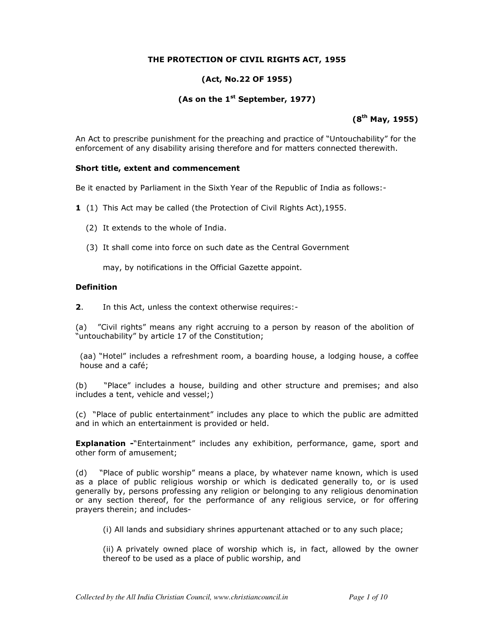# THE PROTECTION OF CIVIL RIGHTS ACT, 1955

# (Act, No.22 OF 1955)

## (As on the  $1^{st}$  September, 1977)

# $(8<sup>th</sup>$  May, 1955)

An Act to prescribe punishment for the preaching and practice of "Untouchability" for the enforcement of any disability arising therefore and for matters connected therewith.

#### Short title, extent and commencement

Be it enacted by Parliament in the Sixth Year of the Republic of India as follows:-

1 (1) This Act may be called (the Protection of Civil Rights Act), 1955.

- (2) It extends to the whole of India.
- (3) It shall come into force on such date as the Central Government

may, by notifications in the Official Gazette appoint.

### Definition

2. In this Act, unless the context otherwise requires:-

(a) "Civil rights" means any right accruing to a person by reason of the abolition of "untouchability" by article 17 of the Constitution;

(aa) "Hotel" includes a refreshment room, a boarding house, a lodging house, a coffee house and a café;

(b) "Place" includes a house, building and other structure and premises; and also includes a tent, vehicle and vessel;)

(c) "Place of public entertainment" includes any place to which the public are admitted and in which an entertainment is provided or held.

**Explanation -**"Entertainment" includes any exhibition, performance, game, sport and other form of amusement;

(d) "Place of public worship" means a place, by whatever name known, which is used as a place of public religious worship or which is dedicated generally to, or is used generally by, persons professing any religion or belonging to any religious denomination or any section thereof, for the performance of any religious service, or for offering prayers therein; and includes-

(i) All lands and subsidiary shrines appurtenant attached or to any such place;

(ii) A privately owned place of worship which is, in fact, allowed by the owner thereof to be used as a place of public worship, and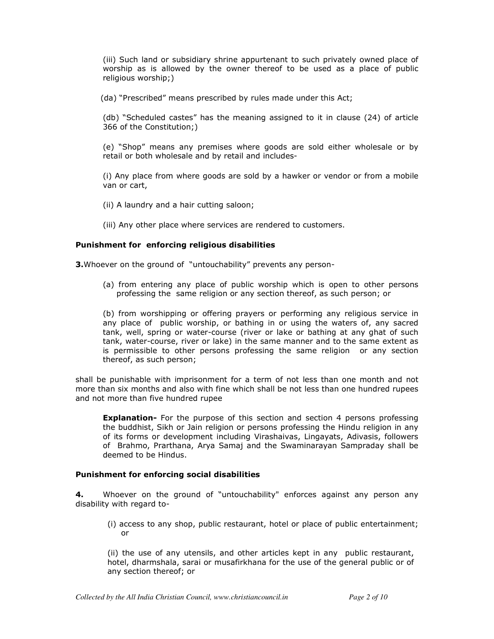(iii) Such land or subsidiary shrine appurtenant to such privately owned place of worship as is allowed by the owner thereof to be used as a place of public religious worship;)

(da) "Prescribed" means prescribed by rules made under this Act;

(db) "Scheduled castes" has the meaning assigned to it in clause (24) of article 366 of the Constitution;)

(e) "Shop" means any premises where goods are sold either wholesale or by retail or both wholesale and by retail and includes-

(i) Any place from where goods are sold by a hawker or vendor or from a mobile van or cart,

(ii) A laundry and a hair cutting saloon;

(iii) Any other place where services are rendered to customers.

### Punishment for enforcing religious disabilities

3.Whoever on the ground of "untouchability" prevents any person-

(a) from entering any place of public worship which is open to other persons professing the same religion or any section thereof, as such person; or

(b) from worshipping or offering prayers or performing any religious service in any place of public worship, or bathing in or using the waters of, any sacred tank, well, spring or water-course (river or lake or bathing at any ghat of such tank, water-course, river or lake) in the same manner and to the same extent as is permissible to other persons professing the same religion or any section thereof, as such person;

shall be punishable with imprisonment for a term of not less than one month and not more than six months and also with fine which shall be not less than one hundred rupees and not more than five hundred rupee

**Explanation-** For the purpose of this section and section 4 persons professing the buddhist, Sikh or Jain religion or persons professing the Hindu religion in any of its forms or development including Virashaivas, Lingayats, Adivasis, followers of Brahmo, Prarthana, Arya Samaj and the Swaminarayan Sampraday shall be deemed to be Hindus.

#### Punishment for enforcing social disabilities

**4.** Whoever on the ground of "untouchability" enforces against any person any disability with regard to-

(i) access to any shop, public restaurant, hotel or place of public entertainment; or

(ii) the use of any utensils, and other articles kept in any public restaurant, hotel, dharmshala, sarai or musafirkhana for the use of the general public or of any section thereof; or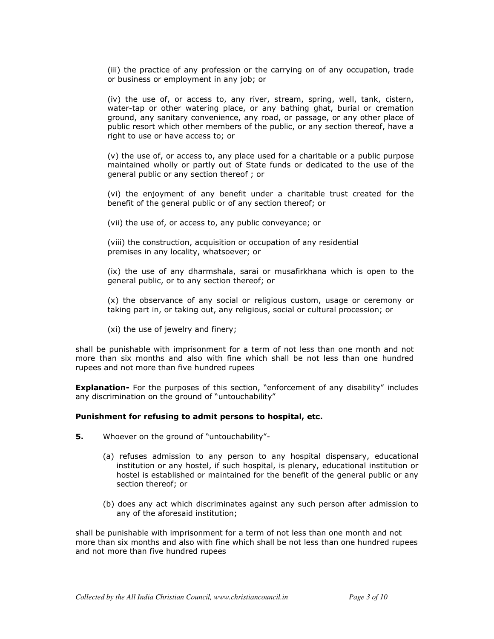(iii) the practice of any profession or the carrying on of any occupation, trade or business or employment in any job; or

(iv) the use of, or access to, any river, stream, spring, well, tank, cistern, water-tap or other watering place, or any bathing ghat, burial or cremation ground, any sanitary convenience, any road, or passage, or any other place of public resort which other members of the public, or any section thereof, have a right to use or have access to; or

(v) the use of, or access to, any place used for a charitable or a public purpose maintained wholly or partly out of State funds or dedicated to the use of the general public or any section thereof ; or j

(vi) the enjoyment of any benefit under a charitable trust created for the benefit of the general public or of any section thereof; or

(vii) the use of, or access to, any public conveyance; or ľ

(viii) the construction, acquisition or occupation of any residential premises in any locality, whatsoever; or İ

(ix) the use of any dharmshala, sarai or musafirkhana which is open to the general public, or to any section thereof; or j

(x) the observance of any social or religious custom, usage or ceremony or taking part in, or taking out, any religious, social or cultural procession; or

(xi) the use of jewelry and finery;

shall be punishable with imprisonment for a term of not less than one month and not more than six months and also with fine which shall be not less than one hundred rupees and not more than five hundred rupees

**Explanation-** For the purposes of this section, "enforcement of any disability" includes any discrimination on the ground of "untouchability"

#### Punishment for refusing to admit persons to hospital, etc.

- 5. Whoever on the ground of "untouchability"-
	- (a) refuses admission to any person to any hospital dispensary, educational institution or any hostel, if such hospital, is plenary, educational institution or hostel is established or maintained for the benefit of the general public or any section thereof; or
	- (b) does any act which discriminates against any such person after admission to any of the aforesaid institution;

shall be punishable with imprisonment for a term of not less than one month and not more than six months and also with fine which shall be not less than one hundred rupees and not more than five hundred rupees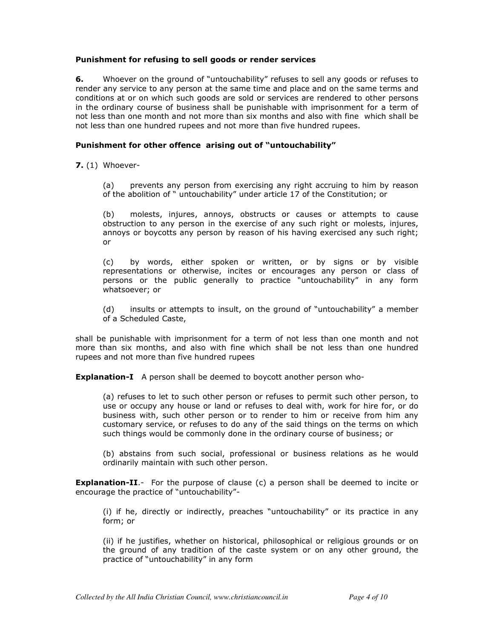### Punishment for refusing to sell goods or render services

6. Whoever on the ground of "untouchability" refuses to sell any goods or refuses to render any service to any person at the same time and place and on the same terms and conditions at or on which such goods are sold or services are rendered to other persons in the ordinary course of business shall be punishable with imprisonment for a term of not less than one month and not more than six months and also with fine which shall be not less than one hundred rupees and not more than five hundred rupees.

# Punishment for other offence arising out of "untouchability"

7. (1) Whoever-

(a) prevents any person from exercising any right accruing to him by reason of the abolition of " untouchability" under article 17 of the Constitution; or

(b) molests, injures, annoys, obstructs or causes or attempts to cause obstruction to any person in the exercise of any such right or molests, injures, annoys or boycotts any person by reason of his having exercised any such right; or

(c) by words, either spoken or written, or by signs or by visible representations or otherwise, incites or encourages any person or class of persons or the public generally to practice "untouchability" in any form whatsoever; or

(d) insults or attempts to insult, on the ground of "untouchability" a member of a Scheduled Caste,

shall be punishable with imprisonment for a term of not less than one month and not more than six months, and also with fine which shall be not less than one hundred rupees and not more than five hundred rupees

**Explanation-I** A person shall be deemed to boycott another person who-

(a) refuses to let to such other person or refuses to permit such other person, to use or occupy any house or land or refuses to deal with, work for hire for, or do business with, such other person or to render to him or receive from him any customary service, or refuses to do any of the said things on the terms on which such things would be commonly done in the ordinary course of business; or

(b) abstains from such social, professional or business relations as he would ordinarily maintain with such other person.

**Explanation-II.**- For the purpose of clause (c) a person shall be deemed to incite or encourage the practice of "untouchability"-

(i) if he, directly or indirectly, preaches "untouchability" or its practice in any form; or

(ii) if he justifies, whether on historical, philosophical or religious grounds or on the ground of any tradition of the caste system or on any other ground, the practice of "untouchability" in any form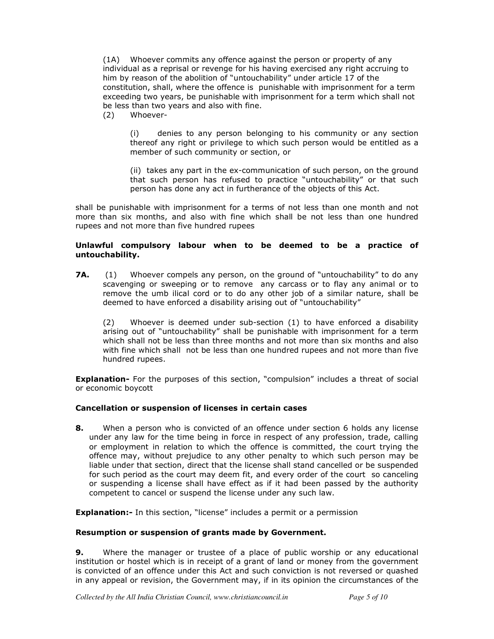(1A) Whoever commits any offence against the person or property of any individual as a reprisal or revenge for his having exercised any right accruing to him by reason of the abolition of "untouchability" under article 17 of the constitution, shall, where the offence is punishable with imprisonment for a term exceeding two years, be punishable with imprisonment for a term which shall not be less than two years and also with fine.

(2) Whoever-

(i) denies to any person belonging to his community or any section thereof any right or privilege to which such person would be entitled as a member of such community or section, or

(ii) takes any part in the ex-communication of such person, on the ground that such person has refused to practice "untouchability" or that such person has done any act in furtherance of the objects of this Act.

shall be punishable with imprisonment for a terms of not less than one month and not more than six months, and also with fine which shall be not less than one hundred rupees and not more than five hundred rupees

### Unlawful compulsory labour when to be deemed to be a practice of untouchability.

**7A.** (1) Whoever compels any person, on the ground of "untouchability" to do any scavenging or sweeping or to remove any carcass or to flay any animal or to remove the umb ilical cord or to do any other job of a similar nature, shall be deemed to have enforced a disability arising out of "untouchability"

(2) Whoever is deemed under sub-section (1) to have enforced a disability arising out of "untouchability" shall be punishable with imprisonment for a term which shall not be less than three months and not more than six months and also with fine which shall not be less than one hundred rupees and not more than five hundred rupees.

**Explanation-** For the purposes of this section, "compulsion" includes a threat of social or economic boycott

## Cancellation or suspension of licenses in certain cases

8. When a person who is convicted of an offence under section 6 holds any license under any law for the time being in force in respect of any profession, trade, calling or employment in relation to which the offence is committed, the court trying the offence may, without prejudice to any other penalty to which such person may be liable under that section, direct that the license shall stand cancelled or be suspended for such period as the court may deem fit, and every order of the court so canceling or suspending a license shall have effect as if it had been passed by the authority competent to cancel or suspend the license under any such law.

**Explanation:-** In this section, "license" includes a permit or a permission

## Resumption or suspension of grants made by Government.

**9.** Where the manager or trustee of a place of public worship or any educational institution or hostel which is in receipt of a grant of land or money from the government is convicted of an offence under this Act and such conviction is not reversed or quashed in any appeal or revision, the Government may, if in its opinion the circumstances of the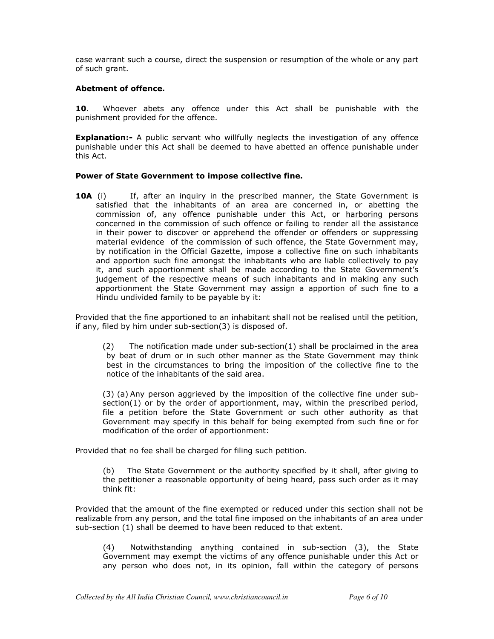case warrant such a course, direct the suspension or resumption of the whole or any part of such grant.

### Abetment of offence.

10. Whoever abets any offence under this Act shall be punishable with the punishment provided for the offence.

**Explanation:-** A public servant who willfully neglects the investigation of any offence punishable under this Act shall be deemed to have abetted an offence punishable under this Act.

### Power of State Government to impose collective fine.

**10A** (i) If, after an inquiry in the prescribed manner, the State Government is satisfied that the inhabitants of an area are concerned in, or abetting the commission of, any offence punishable under this Act, or harboring persons concerned in the commission of such offence or failing to render all the assistance in their power to discover or apprehend the offender or offenders or suppressing material evidence of the commission of such offence, the State Government may, by notification in the Official Gazette, impose a collective fine on such inhabitants and apportion such fine amongst the inhabitants who are liable collectively to pay it, and such apportionment shall be made according to the State Government's judgement of the respective means of such inhabitants and in making any such apportionment the State Government may assign a apportion of such fine to a Hindu undivided family to be payable by it:

Provided that the fine apportioned to an inhabitant shall not be realised until the petition, if any, filed by him under sub-section(3) is disposed of.

(2) The notification made under sub-section(1) shall be proclaimed in the area by beat of drum or in such other manner as the State Government may think best in the circumstances to bring the imposition of the collective fine to the notice of the inhabitants of the said area.

(3) (a) Any person aggrieved by the imposition of the collective fine under subsection(1) or by the order of apportionment, may, within the prescribed period, file a petition before the State Government or such other authority as that Government may specify in this behalf for being exempted from such fine or for modification of the order of apportionment:

Provided that no fee shall be charged for filing such petition.

 (b) The State Government or the authority specified by it shall, after giving to the petitioner a reasonable opportunity of being heard, pass such order as it may think fit:

Provided that the amount of the fine exempted or reduced under this section shall not be realizable from any person, and the total fine imposed on the inhabitants of an area under sub-section (1) shall be deemed to have been reduced to that extent.

(4) Notwithstanding anything contained in sub-section (3), the State Government may exempt the victims of any offence punishable under this Act or any person who does not, in its opinion, fall within the category of persons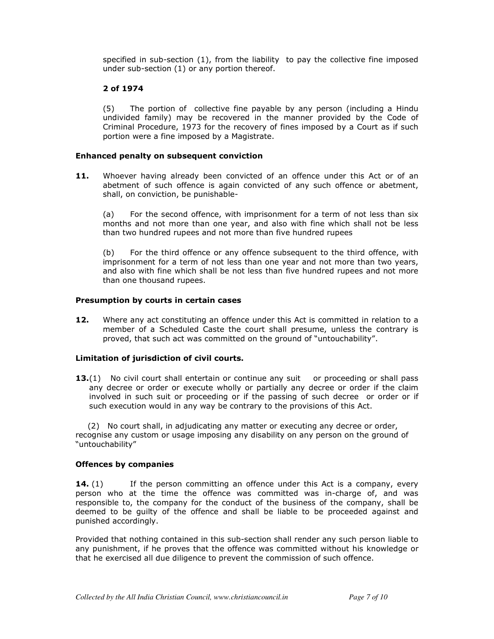specified in sub-section (1), from the liability to pay the collective fine imposed under sub-section (1) or any portion thereof.

### 2 of 1974

(5) The portion of collective fine payable by any person (including a Hindu undivided family) may be recovered in the manner provided by the Code of Criminal Procedure, 1973 for the recovery of fines imposed by a Court as if such portion were a fine imposed by a Magistrate.

### Enhanced penalty on subsequent conviction

**11.** Whoever having already been convicted of an offence under this Act or of an abetment of such offence is again convicted of any such offence or abetment, shall, on conviction, be punishable-

(a) For the second offence, with imprisonment for a term of not less than six months and not more than one year, and also with fine which shall not be less than two hundred rupees and not more than five hundred rupees

(b) For the third offence or any offence subsequent to the third offence, with imprisonment for a term of not less than one year and not more than two years, and also with fine which shall be not less than five hundred rupees and not more than one thousand rupees.

### Presumption by courts in certain cases

12. Where any act constituting an offence under this Act is committed in relation to a member of a Scheduled Caste the court shall presume, unless the contrary is proved, that such act was committed on the ground of "untouchability".

## Limitation of jurisdiction of civil courts.

13.(1) No civil court shall entertain or continue any suit or proceeding or shall pass any decree or order or execute wholly or partially any decree or order if the claim involved in such suit or proceeding or if the passing of such decree or order or if such execution would in any way be contrary to the provisions of this Act.

 (2) No court shall, in adjudicating any matter or executing any decree or order, recognise any custom or usage imposing any disability on any person on the ground of "untouchability"

## Offences by companies

**14.** (1) If the person committing an offence under this Act is a company, every person who at the time the offence was committed was in-charge of, and was responsible to, the company for the conduct of the business of the company, shall be deemed to be guilty of the offence and shall be liable to be proceeded against and punished accordingly.

Provided that nothing contained in this sub-section shall render any such person liable to any punishment, if he proves that the offence was committed without his knowledge or that he exercised all due diligence to prevent the commission of such offence.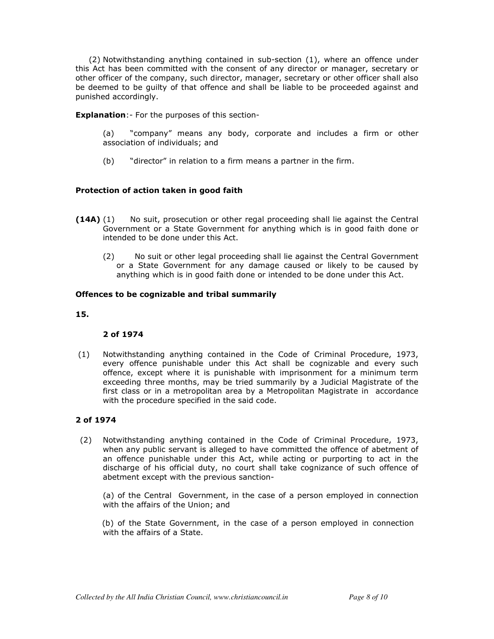(2) Notwithstanding anything contained in sub-section (1), where an offence under this Act has been committed with the consent of any director or manager, secretary or other officer of the company, such director, manager, secretary or other officer shall also be deemed to be guilty of that offence and shall be liable to be proceeded against and punished accordingly.

**Explanation:** - For the purposes of this section-

(a) "company" means any body, corporate and includes a firm or other association of individuals; and

(b) "director" in relation to a firm means a partner in the firm.

## Protection of action taken in good faith

- (14A) (1) No suit, prosecution or other regal proceeding shall lie against the Central Government or a State Government for anything which is in good faith done or intended to be done under this Act.
	- (2) No suit or other legal proceeding shall lie against the Central Government or a State Government for any damage caused or likely to be caused by anything which is in good faith done or intended to be done under this Act.

### Offences to be cognizable and tribal summarily

15.

#### 2 of 1974

(1) Notwithstanding anything contained in the Code of Criminal Procedure, 1973, every offence punishable under this Act shall be cognizable and every such offence, except where it is punishable with imprisonment for a minimum term exceeding three months, may be tried summarily by a Judicial Magistrate of the first class or in a metropolitan area by a Metropolitan Magistrate in accordance with the procedure specified in the said code.

## 2 of 1974

(2) Notwithstanding anything contained in the Code of Criminal Procedure, 1973, when any public servant is alleged to have committed the offence of abetment of an offence punishable under this Act, while acting or purporting to act in the discharge of his official duty, no court shall take cognizance of such offence of abetment except with the previous sanction-

(a) of the Central Government, in the case of a person employed in connection with the affairs of the Union; and

 (b) of the State Government, in the case of a person employed in connection with the affairs of a State.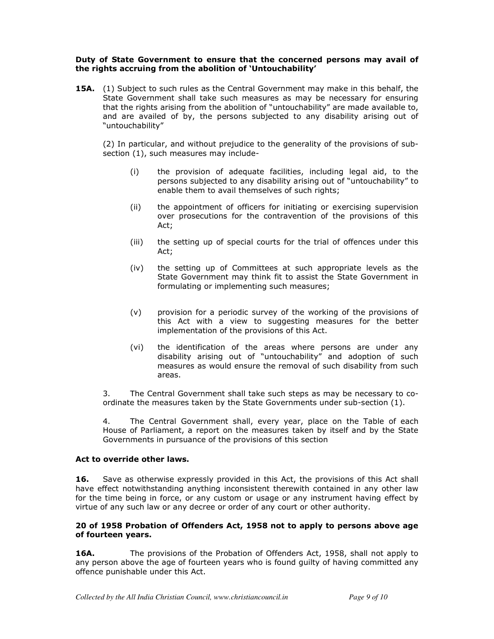#### Duty of State Government to ensure that the concerned persons may avail of the rights accruing from the abolition of 'Untouchability'

**15A.** (1) Subject to such rules as the Central Government may make in this behalf, the State Government shall take such measures as may be necessary for ensuring that the rights arising from the abolition of "untouchability" are made available to, and are availed of by, the persons subjected to any disability arising out of "untouchability"

(2) In particular, and without prejudice to the generality of the provisions of subsection (1), such measures may include-

- (i) the provision of adequate facilities, including legal aid, to the persons subjected to any disability arising out of "untouchability" to enable them to avail themselves of such rights;
- (ii) the appointment of officers for initiating or exercising supervision over prosecutions for the contravention of the provisions of this Act;
- (iii) the setting up of special courts for the trial of offences under this Act;
- (iv) the setting up of Committees at such appropriate levels as the State Government may think fit to assist the State Government in formulating or implementing such measures;
- (v) provision for a periodic survey of the working of the provisions of this Act with a view to suggesting measures for the better implementation of the provisions of this Act.
- (vi) the identification of the areas where persons are under any disability arising out of "untouchability" and adoption of such measures as would ensure the removal of such disability from such areas.

3. The Central Government shall take such steps as may be necessary to coordinate the measures taken by the State Governments under sub-section (1).

4. The Central Government shall, every year, place on the Table of each House of Parliament, a report on the measures taken by itself and by the State Governments in pursuance of the provisions of this section

#### Act to override other laws.

16. Save as otherwise expressly provided in this Act, the provisions of this Act shall have effect notwithstanding anything inconsistent therewith contained in any other law for the time being in force, or any custom or usage or any instrument having effect by virtue of any such law or any decree or order of any court or other authority.

### 20 of 1958 Probation of Offenders Act, 1958 not to apply to persons above age of fourteen years.

**16A.** The provisions of the Probation of Offenders Act, 1958, shall not apply to any person above the age of fourteen years who is found guilty of having committed any offence punishable under this Act.